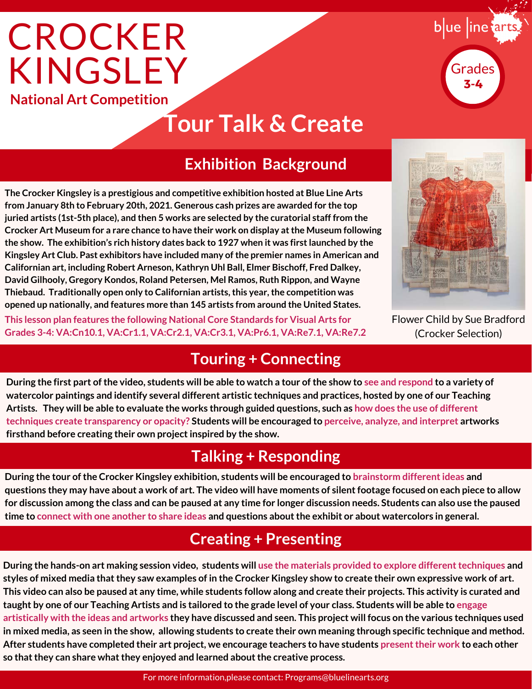# **National Art Competition CROCKER** KINGSLEY

### **Tour Talk & Create**

#### **Exhibition Background**

**The Crocker Kingsley is a prestigious and competitive exhibition hosted at Blue Line Arts from January 8th to February 20th, 2021. Generous cash prizes are awarded for the top juried artists (1st-5th place), and then 5 works are selected by the curatorial staff from the Crocker Art Museum for a rare chance to have their work on display at the Museum following the show. The exhibition's rich history dates back to 1927 when it was first launched by the Kingsley Art Club. Past exhibitors have included many of the premier names in American and Californian art, including Robert Arneson, Kathryn Uhl Ball, Elmer Bischoff, Fred Dalkey, David Gilhooly, Gregory Kondos, Roland Petersen, Mel Ramos, Ruth Rippon, and Wayne Thiebaud. Traditionally open only to Californian artists, this year, the competition was opened up nationally, and features more than 145 artists from around the United States.**

**This lesson plan features the following National Core Standards for Visual Arts for Grades 3-4: VA:Cn10.1, VA:Cr1.1, VA:Cr2.1, VA:Cr3.1, VA:Pr6.1, VA:Re7.1, VA:Re7.2**

### **Touring + Connecting**

**During the first part of the video, students will be able to watch a tour of the show to see and respond to a variety of watercolor paintings and identify several different artistic techniques and practices, hosted by one of our Teaching Artists. They will be able to evaluate the works through guided questions, such as how does the use of different techniques create transparency or opacity? Students will be encouraged to perceive, analyze, and interpret artworks firsthand before creating their own project inspired by the show.**

### **Talking + Responding**

**During the tour of the Crocker Kingsley exhibition, students will be encouraged to brainstorm different ideas and questions they may have about a work of art. The video will have moments of silent footage focused on each piece to allow for discussion among the class and can be paused at any time for longer discussion needs. Students can also use the paused time to connect with one another to share ideas and questions about the exhibit or about watercolors in general.**

### **Creating + Presenting**

**During the hands-on art making session video, students will use the materials provided to explore different techniques and styles of mixed media that they saw examples of in the Crocker Kingsley show to create their own expressive work of art. This video can also be paused at any time, while students follow along and create their projects. This activity is curated and taught by one of our Teaching Artists and is tailored to the grade level of your class. Students will be able to engage artistically with the ideas and artworks they have discussed and seen. This project will focus on the various techniques used in mixed media, as seen in the show, allowing students to create their own meaning through specific technique and method. After students have completed their art project, we encourage teachers to have students present their work to each other so that they can share what they enjoyed and learned about the creative process.**

Flower Child by Sue Bradford (Crocker Selection)